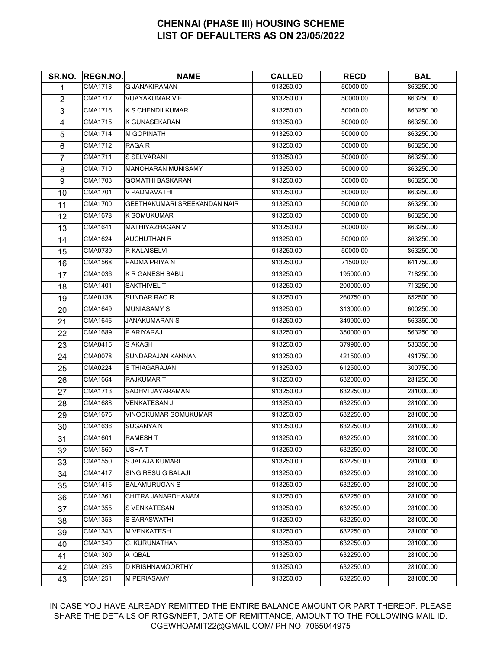| SR.NO.           | <b>REGN.NO.</b> | <b>NAME</b>                  | <b>CALLED</b> | <b>RECD</b> | <b>BAL</b> |
|------------------|-----------------|------------------------------|---------------|-------------|------------|
| 1                | <b>CMA1718</b>  | <b>G JANAKIRAMAN</b>         | 913250.00     | 50000.00    | 863250.00  |
| $\overline{2}$   | <b>CMA1717</b>  | <b>VIJAYAKUMAR V E</b>       | 913250.00     | 50000.00    | 863250.00  |
| 3                | <b>CMA1716</b>  | K S CHENDILKUMAR             | 913250.00     | 50000.00    | 863250.00  |
| 4                | <b>CMA1715</b>  | K GUNASEKARAN                | 913250.00     | 50000.00    | 863250.00  |
| 5                | <b>CMA1714</b>  | <b>M GOPINATH</b>            | 913250.00     | 50000.00    | 863250.00  |
| 6                | <b>CMA1712</b>  | RAGA R                       | 913250.00     | 50000.00    | 863250.00  |
| $\overline{7}$   | <b>CMA1711</b>  | S SELVARANI                  | 913250.00     | 50000.00    | 863250.00  |
| 8                | <b>CMA1710</b>  | <b>MANOHARAN MUNISAMY</b>    | 913250.00     | 50000.00    | 863250.00  |
| $\boldsymbol{9}$ | <b>CMA1703</b>  | <b>GOMATHI BASKARAN</b>      | 913250.00     | 50000.00    | 863250.00  |
| 10               | <b>CMA1701</b>  | V PADMAVATHI                 | 913250.00     | 50000.00    | 863250.00  |
| 11               | <b>CMA1700</b>  | GEETHAKUMARI SREEKANDAN NAIR | 913250.00     | 50000.00    | 863250.00  |
| 12               | CMA1678         | <b>K SOMUKUMAR</b>           | 913250.00     | 50000.00    | 863250.00  |
| 13               | <b>CMA1641</b>  | MATHIYAZHAGAN V              | 913250.00     | 50000.00    | 863250.00  |
| 14               | <b>CMA1624</b>  | <b>AUCHUTHAN R</b>           | 913250.00     | 50000.00    | 863250.00  |
| 15               | CMA0739         | R KALAISELVI                 | 913250.00     | 50000.00    | 863250.00  |
| 16               | <b>CMA1568</b>  | PADMA PRIYA N                | 913250.00     | 71500.00    | 841750.00  |
| 17               | <b>CMA1036</b>  | <b>K R GANESH BABU</b>       | 913250.00     | 195000.00   | 718250.00  |
| 18               | <b>CMA1401</b>  | SAKTHIVEL T                  | 913250.00     | 200000.00   | 713250.00  |
| 19               | CMA0138         | SUNDAR RAO R                 | 913250.00     | 260750.00   | 652500.00  |
| 20               | <b>CMA1649</b>  | <b>MUNIASAMY S</b>           | 913250.00     | 313000.00   | 600250.00  |
| 21               | <b>CMA1646</b>  | JANAKUMARAN S                | 913250.00     | 349900.00   | 563350.00  |
| 22               | CMA1689         | P ARIYARAJ                   | 913250.00     | 350000.00   | 563250.00  |
| 23               | CMA0415         | S AKASH                      | 913250.00     | 379900.00   | 533350.00  |
| 24               | CMA0078         | SUNDARAJAN KANNAN            | 913250.00     | 421500.00   | 491750.00  |
| 25               | <b>CMA0224</b>  | S THIAGARAJAN                | 913250.00     | 612500.00   | 300750.00  |
| 26               | <b>CMA1664</b>  | <b>RAJKUMAR T</b>            | 913250.00     | 632000.00   | 281250.00  |
| 27               | <b>CMA1713</b>  | SADHVI JAYARAMAN             | 913250.00     | 632250.00   | 281000.00  |
| 28               | <b>CMA1688</b>  | <b>VENKATESAN J</b>          | 913250.00     | 632250.00   | 281000.00  |
| 29               | <b>CMA1676</b>  | <b>VINODKUMAR SOMUKUMAR</b>  | 913250.00     | 632250.00   | 281000.00  |
| 30               | <b>CMA1636</b>  | SUGANYA N                    | 913250.00     | 632250.00   | 281000.00  |
| 31               | <b>CMA1601</b>  | <b>RAMESHT</b>               | 913250.00     | 632250.00   | 281000.00  |
| 32               | <b>CMA1560</b>  | USHA T                       | 913250.00     | 632250.00   | 281000.00  |
| 33               | <b>CMA1550</b>  | S JALAJA KUMARI              | 913250.00     | 632250.00   | 281000.00  |
| 34               | <b>CMA1417</b>  | SINGIRESU G BALAJI           | 913250.00     | 632250.00   | 281000.00  |
| 35               | <b>CMA1416</b>  | <b>BALAMURUGAN S</b>         | 913250.00     | 632250.00   | 281000.00  |
| 36               | <b>CMA1361</b>  | CHITRA JANARDHANAM           | 913250.00     | 632250.00   | 281000.00  |
| 37               | CMA1355         | S VENKATESAN                 | 913250.00     | 632250.00   | 281000.00  |
| 38               | CMA1353         | <b>S SARASWATHI</b>          | 913250.00     | 632250.00   | 281000.00  |
| 39               | <b>CMA1343</b>  | <b>M VENKATESH</b>           | 913250.00     | 632250.00   | 281000.00  |
| 40               | <b>CMA1340</b>  | C. KURUNATHAN                | 913250.00     | 632250.00   | 281000.00  |
| 41               | <b>CMA1309</b>  | A IQBAL                      | 913250.00     | 632250.00   | 281000.00  |
| 42               | <b>CMA1295</b>  | D KRISHNAMOORTHY             | 913250.00     | 632250.00   | 281000.00  |
| 43               | <b>CMA1251</b>  | M PERIASAMY                  | 913250.00     | 632250.00   | 281000.00  |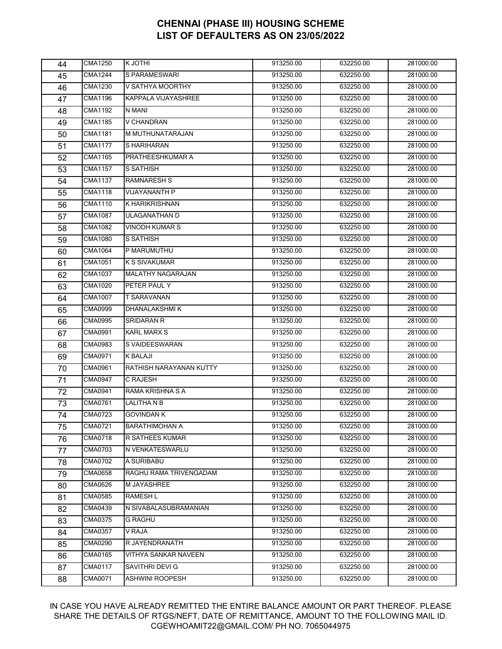| 44 | <b>CMA1250</b> | K JOTHI                  | 913250.00 | 632250.00 | 281000.00 |
|----|----------------|--------------------------|-----------|-----------|-----------|
| 45 | <b>CMA1244</b> | S PARAMESWARI            | 913250.00 | 632250.00 | 281000.00 |
| 46 | <b>CMA1230</b> | V SATHYA MOORTHY         | 913250.00 | 632250.00 | 281000.00 |
| 47 | <b>CMA1196</b> | KAPPALA VIJAYASHREE      | 913250.00 | 632250.00 | 281000.00 |
| 48 | <b>CMA1192</b> | N MANI                   | 913250.00 | 632250.00 | 281000.00 |
| 49 | <b>CMA1185</b> | V CHANDRAN               | 913250.00 | 632250.00 | 281000.00 |
| 50 | <b>CMA1181</b> | M MUTHUNATARAJAN         | 913250.00 | 632250.00 | 281000.00 |
| 51 | <b>CMA1177</b> | S HARIHARAN              | 913250.00 | 632250.00 | 281000.00 |
| 52 | <b>CMA1165</b> | PRATHEESHKUMAR A         | 913250.00 | 632250.00 | 281000.00 |
| 53 | CMA1157        | S SATHISH                | 913250.00 | 632250.00 | 281000.00 |
| 54 | <b>CMA1137</b> | <b>RAMNARESH S</b>       | 913250.00 | 632250.00 | 281000.00 |
| 55 | <b>CMA1118</b> | VIJAYANANTH P            | 913250.00 | 632250.00 | 281000.00 |
| 56 | <b>CMA1110</b> | <b>K HARIKRISHNAN</b>    | 913250.00 | 632250.00 | 281000.00 |
| 57 | CMA1087        | ULAGANATHAN D            | 913250.00 | 632250.00 | 281000.00 |
| 58 | <b>CMA1082</b> | <b>VINODH KUMAR S</b>    | 913250.00 | 632250.00 | 281000.00 |
| 59 | <b>CMA1080</b> | S SATHISH                | 913250.00 | 632250.00 | 281000.00 |
| 60 | <b>CMA1064</b> | P MARUMUTHU              | 913250.00 | 632250.00 | 281000.00 |
| 61 | CMA1051        | <b>K S SIVAKUMAR</b>     | 913250.00 | 632250.00 | 281000.00 |
| 62 | CMA1037        | <b>MALATHY NAGARAJAN</b> | 913250.00 | 632250.00 | 281000.00 |
| 63 | <b>CMA1020</b> | PETER PAUL Y             | 913250.00 | 632250.00 | 281000.00 |
| 64 | <b>CMA1007</b> | <b>T SARAVANAN</b>       | 913250.00 | 632250.00 | 281000.00 |
| 65 | CMA0999        | DHANALAKSHMI K           | 913250.00 | 632250.00 | 281000.00 |
| 66 | CMA0995        | SRIDARAN R               | 913250.00 | 632250.00 | 281000.00 |
| 67 | CMA0991        | <b>KARL MARX S</b>       | 913250.00 | 632250.00 | 281000.00 |
| 68 | CMA0983        | S VAIDEESWARAN           | 913250.00 | 632250.00 | 281000.00 |
| 69 | CMA0971        | K BALAJI                 | 913250.00 | 632250.00 | 281000.00 |
| 70 | CMA0961        | RATHISH NARAYANAN KUTTY  | 913250.00 | 632250.00 | 281000.00 |
| 71 | <b>CMA0947</b> | C RAJESH                 | 913250.00 | 632250.00 | 281000.00 |
| 72 | CMA0941        | RAMA KRISHNA S A         | 913250.00 | 632250.00 | 281000.00 |
| 73 | CMA0761        | LALITHA N B              | 913250.00 | 632250.00 | 281000.00 |
| 74 | CMA0723        | <b>GOVINDAN K</b>        | 913250.00 | 632250.00 | 281000.00 |
| 75 | <b>CMA0721</b> | <b>BARATHIMOHAN A</b>    | 913250.00 | 632250.00 | 281000.00 |
| 76 | CMA0718        | R SATHEES KUMAR          | 913250.00 | 632250.00 | 281000.00 |
| 77 | CMA0703        | N VENKATESWARLU          | 913250.00 | 632250.00 | 281000.00 |
| 78 | CMA0702        | A SURIBABU               | 913250.00 | 632250.00 | 281000.00 |
| 79 | CMA0658        | RAGHU RAMA TRIVENGADAM   | 913250.00 | 632250.00 | 281000.00 |
| 80 | CMA0626        | <b>M JAYASHREE</b>       | 913250.00 | 632250.00 | 281000.00 |
| 81 | CMA0585        | RAMESH L                 | 913250.00 | 632250.00 | 281000.00 |
| 82 | CMA0439        | N SIVABALASUBRAMANIAN    | 913250.00 | 632250.00 | 281000.00 |
| 83 | CMA0375        | <b>G RAGHU</b>           | 913250.00 | 632250.00 | 281000.00 |
| 84 | CMA0357        | V RAJA                   | 913250.00 | 632250.00 | 281000.00 |
| 85 | CMA0290        | R JAYENDRANATH           | 913250.00 | 632250.00 | 281000.00 |
| 86 | CMA0165        | VITHYA SANKAR NAVEEN     | 913250.00 | 632250.00 | 281000.00 |
| 87 | CMA0117        | SAVITHRI DEVI G          | 913250.00 | 632250.00 | 281000.00 |
| 88 | CMA0071        | <b>ASHWINI ROOPESH</b>   | 913250.00 | 632250.00 | 281000.00 |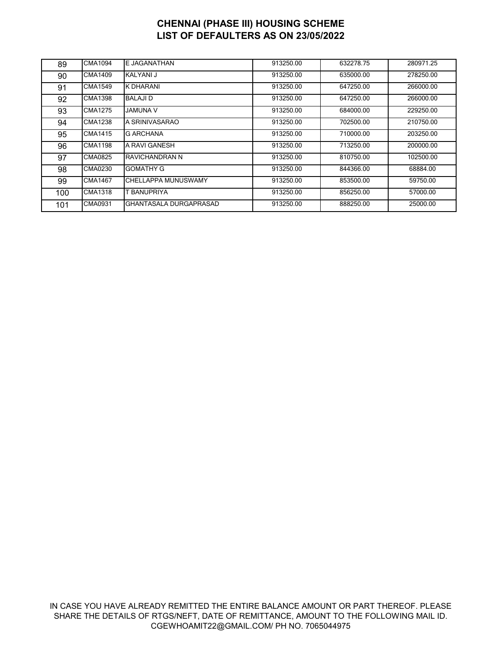| 89  | CMA1094        | E JAGANATHAN           | 913250.00 | 632278.75 | 280971.25 |
|-----|----------------|------------------------|-----------|-----------|-----------|
| 90  | CMA1409        | KALYANI J              | 913250.00 | 635000.00 | 278250.00 |
| 91  | CMA1549        | K DHARANI              | 913250.00 | 647250.00 | 266000.00 |
| 92  | CMA1398        | <b>BALAJID</b>         | 913250.00 | 647250.00 | 266000.00 |
| 93  | CMA1275        | JAMUNA V               | 913250.00 | 684000.00 | 229250.00 |
| 94  | <b>CMA1238</b> | A SRINIVASARAO         | 913250.00 | 702500.00 | 210750.00 |
| 95  | CMA1415        | G ARCHANA              | 913250.00 | 710000.00 | 203250.00 |
| 96  | CMA1198        | A RAVI GANESH          | 913250.00 | 713250.00 | 200000.00 |
| 97  | CMA0825        | IRAVICHANDRAN N        | 913250.00 | 810750.00 | 102500.00 |
| 98  | CMA0230        | <b>GOMATHY G</b>       | 913250.00 | 844366.00 | 68884.00  |
| 99  | CMA1467        | CHELLAPPA MUNUSWAMY    | 913250.00 | 853500.00 | 59750.00  |
| 100 | CMA1318        | BANUPRIYA              | 913250.00 | 856250.00 | 57000.00  |
| 101 | CMA0931        | GHANTASALA DURGAPRASAD | 913250.00 | 888250.00 | 25000.00  |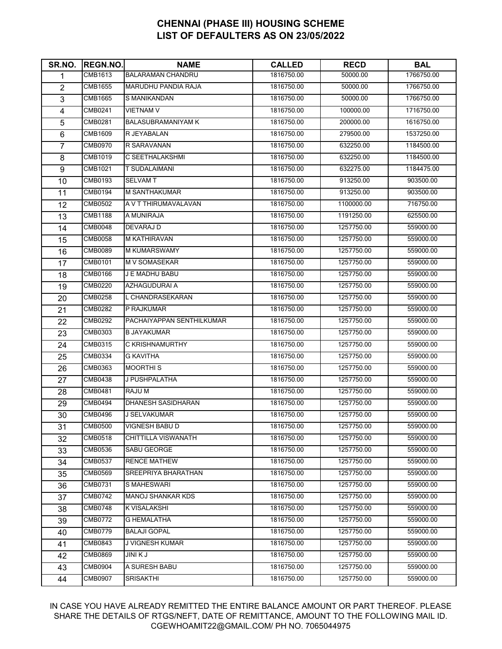| SR.NO.                  | <b>REGN.NO.</b> | <b>NAME</b>                | <b>CALLED</b> | <b>RECD</b> | <b>BAL</b> |
|-------------------------|-----------------|----------------------------|---------------|-------------|------------|
| 1                       | CMB1613         | <b>BALARAMAN CHANDRU</b>   | 1816750.00    | 50000.00    | 1766750.00 |
| $\overline{2}$          | <b>CMB1655</b>  | <b>MARUDHU PANDIA RAJA</b> | 1816750.00    | 50000.00    | 1766750.00 |
| 3                       | <b>CMB1665</b>  | S MANIKANDAN               | 1816750.00    | 50000.00    | 1766750.00 |
| $\overline{\mathbf{4}}$ | CMB0241         | <b>VIETNAM V</b>           | 1816750.00    | 100000.00   | 1716750.00 |
| 5                       | CMB0281         | <b>BALASUBRAMANIYAM K</b>  | 1816750.00    | 200000.00   | 1616750.00 |
| 6                       | <b>CMB1609</b>  | R JEYABALAN                | 1816750.00    | 279500.00   | 1537250.00 |
| $\overline{7}$          | CMB0970         | R SARAVANAN                | 1816750.00    | 632250.00   | 1184500.00 |
| 8                       | <b>CMB1019</b>  | C SEETHALAKSHMI            | 1816750.00    | 632250.00   | 1184500.00 |
| $\boldsymbol{9}$        | CMB1021         | T SUDALAIMANI              | 1816750.00    | 632275.00   | 1184475.00 |
| 10                      | CMB0193         | <b>SELVAM T</b>            | 1816750.00    | 913250.00   | 903500.00  |
| 11                      | <b>CMB0194</b>  | M SANTHAKUMAR              | 1816750.00    | 913250.00   | 903500.00  |
| 12                      | CMB0502         | A V T THIRUMAVALAVAN       | 1816750.00    | 1100000.00  | 716750.00  |
| 13                      | <b>CMB1188</b>  | A MUNIRAJA                 | 1816750.00    | 1191250.00  | 625500.00  |
| 14                      | <b>CMB0048</b>  | DEVARAJ D                  | 1816750.00    | 1257750.00  | 559000.00  |
| 15                      | <b>CMB0058</b>  | <b>M KATHIRAVAN</b>        | 1816750.00    | 1257750.00  | 559000.00  |
| 16                      | CMB0089         | M KUMARSWAMY               | 1816750.00    | 1257750.00  | 559000.00  |
| 17                      | CMB0101         | <b>M V SOMASEKAR</b>       | 1816750.00    | 1257750.00  | 559000.00  |
| 18                      | <b>CMB0166</b>  | J E MADHU BABU             | 1816750.00    | 1257750.00  | 559000.00  |
| 19                      | CMB0220         | AZHAGUDURAI A              | 1816750.00    | 1257750.00  | 559000.00  |
| 20                      | <b>CMB0258</b>  | L CHANDRASEKARAN           | 1816750.00    | 1257750.00  | 559000.00  |
| 21                      | <b>CMB0282</b>  | P RAJKUMAR                 | 1816750.00    | 1257750.00  | 559000.00  |
| 22                      | <b>CMB0292</b>  | PACHAIYAPPAN SENTHILKUMAR  | 1816750.00    | 1257750.00  | 559000.00  |
| 23                      | CMB0303         | <b>B JAYAKUMAR</b>         | 1816750.00    | 1257750.00  | 559000.00  |
| 24                      | CMB0315         | C KRISHNAMURTHY            | 1816750.00    | 1257750.00  | 559000.00  |
| 25                      | CMB0334         | G KAVITHA                  | 1816750.00    | 1257750.00  | 559000.00  |
| 26                      | CMB0363         | <b>MOORTHIS</b>            | 1816750.00    | 1257750.00  | 559000.00  |
| 27                      | <b>CMB0438</b>  | J PUSHPALATHA              | 1816750.00    | 1257750.00  | 559000.00  |
| 28                      | <b>CMB0481</b>  | RAJU M                     | 1816750.00    | 1257750.00  | 559000.00  |
| 29                      | <b>CMB0494</b>  | DHANESH SASIDHARAN         | 1816750.00    | 1257750.00  | 559000.00  |
| 30                      | <b>CMB0496</b>  | <b>J SELVAKUMAR</b>        | 1816750.00    | 1257750.00  | 559000.00  |
| 31                      | <b>CMB0500</b>  | <b>VIGNESH BABU D</b>      | 1816750.00    | 1257750.00  | 559000.00  |
| 32                      | CMB0518         | CHITTILLA VISWANATH        | 1816750.00    | 1257750.00  | 559000.00  |
| 33                      | <b>CMB0536</b>  | SABU GEORGE                | 1816750.00    | 1257750.00  | 559000.00  |
| 34                      | CMB0537         | <b>RENCE MATHEW</b>        | 1816750.00    | 1257750.00  | 559000.00  |
| 35                      | <b>CMB0569</b>  | SREEPRIYA BHARATHAN        | 1816750.00    | 1257750.00  | 559000.00  |
| 36                      | CMB0731         | S MAHESWARI                | 1816750.00    | 1257750.00  | 559000.00  |
| 37                      | <b>CMB0742</b>  | <b>MANOJ SHANKAR KDS</b>   | 1816750.00    | 1257750.00  | 559000.00  |
| 38                      | CMB0748         | K VISALAKSHI               | 1816750.00    | 1257750.00  | 559000.00  |
| 39                      | CMB0772         | <b>G HEMALATHA</b>         | 1816750.00    | 1257750.00  | 559000.00  |
| 40                      | CMB0779         | <b>BALAJI GOPAL</b>        | 1816750.00    | 1257750.00  | 559000.00  |
| 41                      | CMB0843         | J VIGNESH KUMAR            | 1816750.00    | 1257750.00  | 559000.00  |
| 42                      | <b>CMB0869</b>  | <b>JINIKJ</b>              | 1816750.00    | 1257750.00  | 559000.00  |
| 43                      | CMB0904         | A SURESH BABU              | 1816750.00    | 1257750.00  | 559000.00  |
| 44                      | CMB0907         | <b>SRISAKTHI</b>           | 1816750.00    | 1257750.00  | 559000.00  |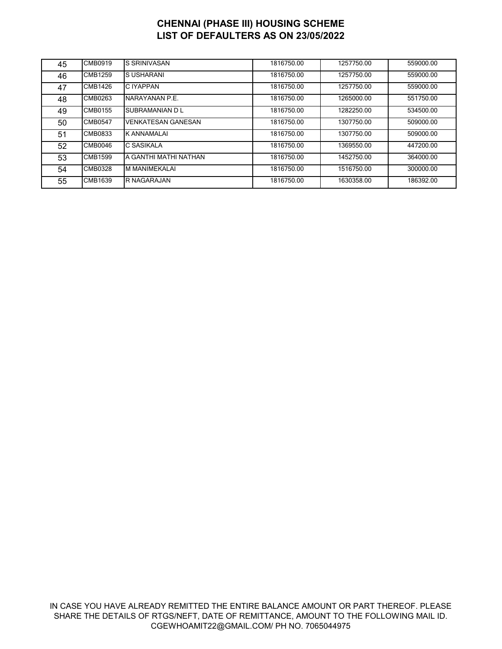| 45 | CMB0919        | <b>S SRINIVASAN</b>       | 1816750.00 | 1257750.00 | 559000.00 |
|----|----------------|---------------------------|------------|------------|-----------|
| 46 | <b>CMB1259</b> | <b>SUSHARANI</b>          | 1816750.00 | 1257750.00 | 559000.00 |
| 47 | CMB1426        | C IYAPPAN                 | 1816750.00 | 1257750.00 | 559000.00 |
| 48 | CMB0263        | NARAYANAN P.E.            | 1816750.00 | 1265000.00 | 551750.00 |
| 49 | CMB0155        | <b>SUBRAMANIAN D L</b>    | 1816750.00 | 1282250.00 | 534500.00 |
| 50 | CMB0547        | <b>VENKATESAN GANESAN</b> | 1816750.00 | 1307750.00 | 509000.00 |
| 51 | CMB0833        | IK ANNAMALAI              | 1816750.00 | 1307750.00 | 509000.00 |
| 52 | CMB0046        | C SASIKALA                | 1816750.00 | 1369550.00 | 447200.00 |
| 53 | CMB1599        | A GANTHI MATHI NATHAN     | 1816750.00 | 1452750.00 | 364000.00 |
| 54 | CMB0328        | M MANIMEKALAI             | 1816750.00 | 1516750.00 | 300000.00 |
| 55 | <b>CMB1639</b> | <b>R NAGARAJAN</b>        | 1816750.00 | 1630358.00 | 186392.00 |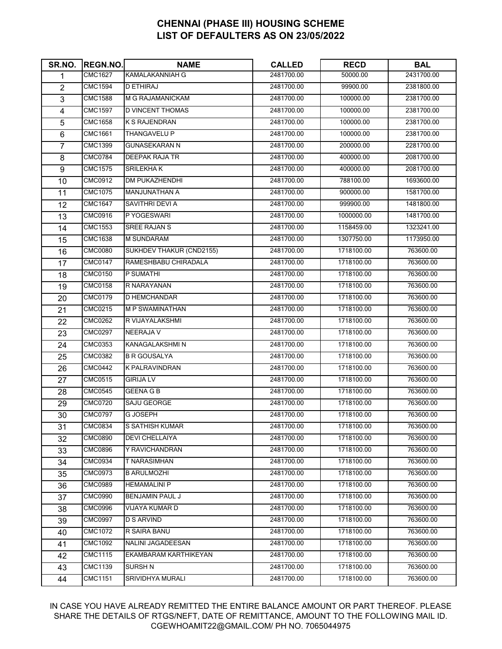| SR.NO.           | <b>REGN.NO.</b> | <b>NAME</b>              | <b>CALLED</b> | <b>RECD</b> | <b>BAL</b> |
|------------------|-----------------|--------------------------|---------------|-------------|------------|
| 1                | <b>CMC1627</b>  | <b>KAMALAKANNIAH G</b>   | 2481700.00    | 50000.00    | 2431700.00 |
| $\overline{2}$   | <b>CMC1594</b>  | <b>DETHIRAJ</b>          | 2481700.00    | 99900.00    | 2381800.00 |
| $\overline{3}$   | <b>CMC1588</b>  | M G RAJAMANICKAM         | 2481700.00    | 100000.00   | 2381700.00 |
| 4                | <b>CMC1597</b>  | <b>D VINCENT THOMAS</b>  | 2481700.00    | 100000.00   | 2381700.00 |
| $\overline{5}$   | <b>CMC1658</b>  | <b>K S RAJENDRAN</b>     | 2481700.00    | 100000.00   | 2381700.00 |
| $\,6$            | <b>CMC1661</b>  | THANGAVELU P             | 2481700.00    | 100000.00   | 2381700.00 |
| $\overline{7}$   | <b>CMC1399</b>  | <b>GUNASEKARAN N</b>     | 2481700.00    | 200000.00   | 2281700.00 |
| 8                | <b>CMC0784</b>  | DEEPAK RAJA TR           | 2481700.00    | 400000.00   | 2081700.00 |
| $\boldsymbol{9}$ | <b>CMC1575</b>  | <b>SRILEKHAK</b>         | 2481700.00    | 400000.00   | 2081700.00 |
| 10               | <b>CMC0912</b>  | <b>DM PUKAZHENDHI</b>    | 2481700.00    | 788100.00   | 1693600.00 |
| 11               | <b>CMC1075</b>  | MANJUNATHAN A            | 2481700.00    | 900000.00   | 1581700.00 |
| 12               | <b>CMC1647</b>  | SAVITHRI DEVI A          | 2481700.00    | 999900.00   | 1481800.00 |
| 13               | <b>CMC0916</b>  | P YOGESWARI              | 2481700.00    | 1000000.00  | 1481700.00 |
| 14               | <b>CMC1553</b>  | SREE RAJAN S             | 2481700.00    | 1158459.00  | 1323241.00 |
| 15               | <b>CMC1638</b>  | <b>M SUNDARAM</b>        | 2481700.00    | 1307750.00  | 1173950.00 |
| 16               | <b>CMC0080</b>  | SUKHDEV THAKUR (CND2155) | 2481700.00    | 1718100.00  | 763600.00  |
| 17               | <b>CMC0147</b>  | RAMESHBABU CHIRADALA     | 2481700.00    | 1718100.00  | 763600.00  |
| 18               | <b>CMC0150</b>  | P SUMATHI                | 2481700.00    | 1718100.00  | 763600.00  |
| 19               | <b>CMC0158</b>  | R NARAYANAN              | 2481700.00    | 1718100.00  | 763600.00  |
| 20               | <b>CMC0179</b>  | D HEMCHANDAR             | 2481700.00    | 1718100.00  | 763600.00  |
| 21               | CMC0215         | <b>M P SWAMINATHAN</b>   | 2481700.00    | 1718100.00  | 763600.00  |
| 22               | <b>CMC0262</b>  | R VIJAYALAKSHMI          | 2481700.00    | 1718100.00  | 763600.00  |
| 23               | <b>CMC0297</b>  | <b>NEERAJA V</b>         | 2481700.00    | 1718100.00  | 763600.00  |
| 24               | <b>CMC0353</b>  | KANAGALAKSHMI N          | 2481700.00    | 1718100.00  | 763600.00  |
| 25               | <b>CMC0382</b>  | <b>B R GOUSALYA</b>      | 2481700.00    | 1718100.00  | 763600.00  |
| 26               | <b>CMC0442</b>  | <b>K PALRAVINDRAN</b>    | 2481700.00    | 1718100.00  | 763600.00  |
| 27               | CMC0515         | <b>GIRIJA LV</b>         | 2481700.00    | 1718100.00  | 763600.00  |
| 28               | <b>CMC0545</b>  | <b>GEENA GB</b>          | 2481700.00    | 1718100.00  | 763600.00  |
| 29               | <b>CMC0720</b>  | SAJU GEORGE              | 2481700.00    | 1718100.00  | 763600.00  |
| 30               | <b>CMC0797</b>  | <b>G JOSEPH</b>          | 2481700.00    | 1718100.00  | 763600.00  |
| 31               | <b>CMC0834</b>  | S SATHISH KUMAR          | 2481700.00    | 1718100.00  | 763600.00  |
| 32               | <b>CMC0890</b>  | DEVI CHELLAIYA           | 2481700.00    | 1718100.00  | 763600.00  |
| 33               | <b>CMC0896</b>  | Y RAVICHANDRAN           | 2481700.00    | 1718100.00  | 763600.00  |
| 34               | <b>CMC0934</b>  | T NARASIMHAN             | 2481700.00    | 1718100.00  | 763600.00  |
| 35               | CMC0973         | <b>B ARULMOZHI</b>       | 2481700.00    | 1718100.00  | 763600.00  |
| 36               | <b>CMC0989</b>  | <b>HEMAMALINI P</b>      | 2481700.00    | 1718100.00  | 763600.00  |
| 37               | <b>CMC0990</b>  | BENJAMIN PAUL J          | 2481700.00    | 1718100.00  | 763600.00  |
| 38               | <b>CMC0996</b>  | VIJAYA KUMAR D           | 2481700.00    | 1718100.00  | 763600.00  |
| 39               | <b>CMC0997</b>  | <b>D S ARVIND</b>        | 2481700.00    | 1718100.00  | 763600.00  |
| 40               | <b>CMC1072</b>  | R SAIRA BANU             | 2481700.00    | 1718100.00  | 763600.00  |
| 41               | <b>CMC1092</b>  | NALINI JAGADEESAN        | 2481700.00    | 1718100.00  | 763600.00  |
| 42               | <b>CMC1115</b>  | EKAMBARAM KARTHIKEYAN    | 2481700.00    | 1718100.00  | 763600.00  |
| 43               | CMC1139         | SURSH N                  | 2481700.00    | 1718100.00  | 763600.00  |
| 44               | <b>CMC1151</b>  | SRIVIDHYA MURALI         | 2481700.00    | 1718100.00  | 763600.00  |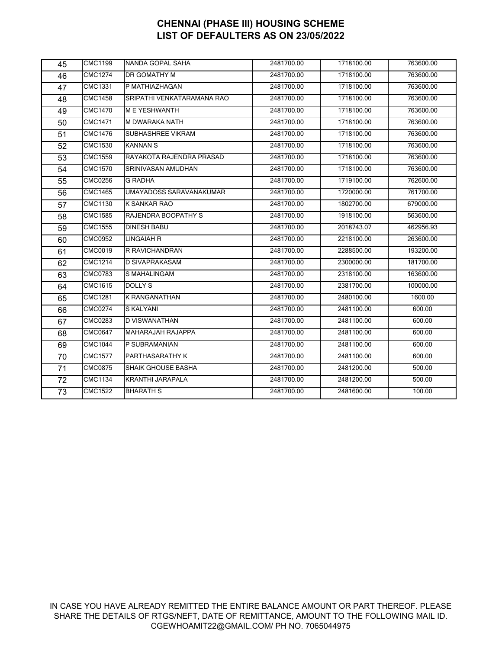| 45 | <b>CMC1199</b>       | NANDA GOPAL SAHA           | 2481700.00 | 1718100.00 | 763600.00 |
|----|----------------------|----------------------------|------------|------------|-----------|
| 46 | <b>CMC1274</b>       | <b>DR GOMATHY M</b>        | 2481700.00 | 1718100.00 | 763600.00 |
| 47 | CMC1331              | P MATHIAZHAGAN             | 2481700.00 | 1718100.00 | 763600.00 |
| 48 | <b>CMC1458</b>       | SRIPATHI VENKATARAMANA RAO | 2481700.00 | 1718100.00 | 763600.00 |
| 49 | <b>CMC1470</b>       | <b>MEYESHWANTH</b>         | 2481700.00 | 1718100.00 | 763600.00 |
| 50 | <b>CMC1471</b>       | <b>M DWARAKA NATH</b>      | 2481700.00 | 1718100.00 | 763600.00 |
| 51 | <b>CMC1476</b>       | <b>SUBHASHREE VIKRAM</b>   | 2481700.00 | 1718100.00 | 763600.00 |
| 52 | <b>CMC1530</b>       | <b>KANNAN S</b>            | 2481700.00 | 1718100.00 | 763600.00 |
| 53 | <b>CMC1559</b>       | RAYAKOTA RAJENDRA PRASAD   | 2481700.00 | 1718100.00 | 763600.00 |
| 54 | <b>CMC1570</b>       | SRINIVASAN AMUDHAN         | 2481700.00 | 1718100.00 | 763600.00 |
| 55 | <b>CMC0256</b>       | <b>G RADHA</b>             | 2481700.00 | 1719100.00 | 762600.00 |
| 56 | $\overline{CMC14}65$ | UMAYADOSS SARAVANAKUMAR    | 2481700.00 | 1720000.00 | 761700.00 |
| 57 | <b>CMC1130</b>       | K SANKAR RAO               | 2481700.00 | 1802700.00 | 679000.00 |
| 58 | <b>CMC1585</b>       | RAJENDRA BOOPATHY S        | 2481700.00 | 1918100.00 | 563600.00 |
| 59 | <b>CMC1555</b>       | <b>DINESH BABU</b>         | 2481700.00 | 2018743.07 | 462956.93 |
| 60 | <b>CMC0952</b>       | LINGAIAH R                 | 2481700.00 | 2218100.00 | 263600.00 |
| 61 | CMC0019              | R RAVICHANDRAN             | 2481700.00 | 2288500.00 | 193200.00 |
| 62 | <b>CMC1214</b>       | <b>D SIVAPRAKASAM</b>      | 2481700.00 | 2300000.00 | 181700.00 |
| 63 | <b>CMC0783</b>       | S MAHALINGAM               | 2481700.00 | 2318100.00 | 163600.00 |
| 64 | <b>CMC1615</b>       | DOLLY S                    | 2481700.00 | 2381700.00 | 100000.00 |
| 65 | <b>CMC1281</b>       | <b>K RANGANATHAN</b>       | 2481700.00 | 2480100.00 | 1600.00   |
| 66 | <b>CMC0274</b>       | S KALYANI                  | 2481700.00 | 2481100.00 | 600.00    |
| 67 | <b>CMC0283</b>       | D VISWANATHAN              | 2481700.00 | 2481100.00 | 600.00    |
| 68 | CMC0647              | <b>MAHARAJAH RAJAPPA</b>   | 2481700.00 | 2481100.00 | 600.00    |
| 69 | <b>CMC1044</b>       | P SUBRAMANIAN              | 2481700.00 | 2481100.00 | 600.00    |
| 70 | <b>CMC1577</b>       | PARTHASARATHY K            | 2481700.00 | 2481100.00 | 600.00    |
| 71 | <b>CMC0875</b>       | SHAIK GHOUSE BASHA         | 2481700.00 | 2481200.00 | 500.00    |
| 72 | <b>CMC1134</b>       | <b>KRANTHI JARAPALA</b>    | 2481700.00 | 2481200.00 | 500.00    |
| 73 | <b>CMC1522</b>       | <b>BHARATH S</b>           | 2481700.00 | 2481600.00 | 100.00    |